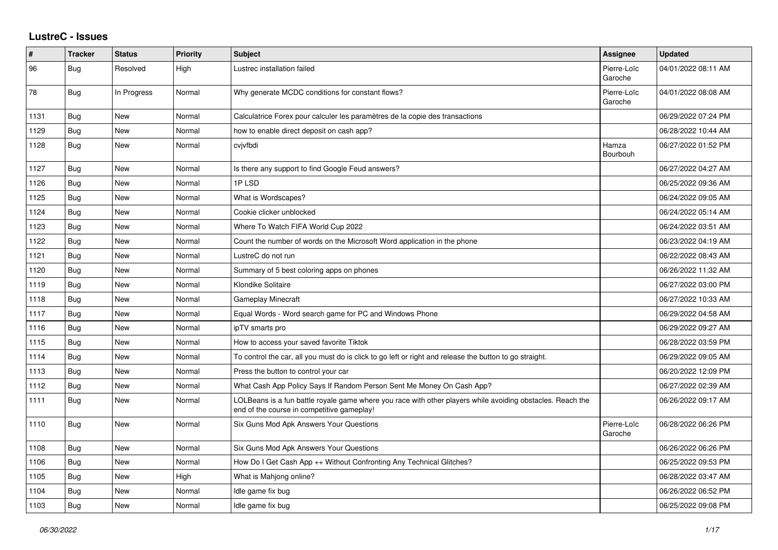## **LustreC - Issues**

| #    | <b>Tracker</b> | <b>Status</b> | Priority | <b>Subject</b>                                                                                                                                           | Assignee               | <b>Updated</b>      |
|------|----------------|---------------|----------|----------------------------------------------------------------------------------------------------------------------------------------------------------|------------------------|---------------------|
| 96   | Bug            | Resolved      | High     | Lustrec installation failed                                                                                                                              | Pierre-Loïc<br>Garoche | 04/01/2022 08:11 AM |
| 78   | <b>Bug</b>     | In Progress   | Normal   | Why generate MCDC conditions for constant flows?                                                                                                         | Pierre-Loïc<br>Garoche | 04/01/2022 08:08 AM |
| 1131 | Bug            | <b>New</b>    | Normal   | Calculatrice Forex pour calculer les paramètres de la copie des transactions                                                                             |                        | 06/29/2022 07:24 PM |
| 1129 | Bug            | <b>New</b>    | Normal   | how to enable direct deposit on cash app?                                                                                                                |                        | 06/28/2022 10:44 AM |
| 1128 | Bug            | New           | Normal   | cvjvfbdi                                                                                                                                                 | Hamza<br>Bourbouh      | 06/27/2022 01:52 PM |
| 1127 | Bug            | <b>New</b>    | Normal   | Is there any support to find Google Feud answers?                                                                                                        |                        | 06/27/2022 04:27 AM |
| 1126 | Bug            | <b>New</b>    | Normal   | 1PLSD                                                                                                                                                    |                        | 06/25/2022 09:36 AM |
| 1125 | Bug            | <b>New</b>    | Normal   | What is Wordscapes?                                                                                                                                      |                        | 06/24/2022 09:05 AM |
| 1124 | Bug            | <b>New</b>    | Normal   | Cookie clicker unblocked                                                                                                                                 |                        | 06/24/2022 05:14 AM |
| 1123 | Bug            | <b>New</b>    | Normal   | Where To Watch FIFA World Cup 2022                                                                                                                       |                        | 06/24/2022 03:51 AM |
| 1122 | Bug            | <b>New</b>    | Normal   | Count the number of words on the Microsoft Word application in the phone                                                                                 |                        | 06/23/2022 04:19 AM |
| 1121 | Bug            | <b>New</b>    | Normal   | LustreC do not run                                                                                                                                       |                        | 06/22/2022 08:43 AM |
| 1120 | Bug            | <b>New</b>    | Normal   | Summary of 5 best coloring apps on phones                                                                                                                |                        | 06/26/2022 11:32 AM |
| 1119 | <b>Bug</b>     | <b>New</b>    | Normal   | Klondike Solitaire                                                                                                                                       |                        | 06/27/2022 03:00 PM |
| 1118 | Bug            | <b>New</b>    | Normal   | <b>Gameplay Minecraft</b>                                                                                                                                |                        | 06/27/2022 10:33 AM |
| 1117 | Bug            | <b>New</b>    | Normal   | Equal Words - Word search game for PC and Windows Phone                                                                                                  |                        | 06/29/2022 04:58 AM |
| 1116 | Bug            | <b>New</b>    | Normal   | ipTV smarts pro                                                                                                                                          |                        | 06/29/2022 09:27 AM |
| 1115 | Bug            | <b>New</b>    | Normal   | How to access your saved favorite Tiktok                                                                                                                 |                        | 06/28/2022 03:59 PM |
| 1114 | Bug            | <b>New</b>    | Normal   | To control the car, all you must do is click to go left or right and release the button to go straight.                                                  |                        | 06/29/2022 09:05 AM |
| 1113 | Bug            | <b>New</b>    | Normal   | Press the button to control your car                                                                                                                     |                        | 06/20/2022 12:09 PM |
| 1112 | Bug            | <b>New</b>    | Normal   | What Cash App Policy Says If Random Person Sent Me Money On Cash App?                                                                                    |                        | 06/27/2022 02:39 AM |
| 1111 | Bug            | <b>New</b>    | Normal   | LOLBeans is a fun battle royale game where you race with other players while avoiding obstacles. Reach the<br>end of the course in competitive gameplay! |                        | 06/26/2022 09:17 AM |
| 1110 | Bug            | <b>New</b>    | Normal   | Six Guns Mod Apk Answers Your Questions                                                                                                                  | Pierre-Loïc<br>Garoche | 06/28/2022 06:26 PM |
| 1108 | Bug            | <b>New</b>    | Normal   | Six Guns Mod Apk Answers Your Questions                                                                                                                  |                        | 06/26/2022 06:26 PM |
| 1106 | Bug            | <b>New</b>    | Normal   | How Do I Get Cash App ++ Without Confronting Any Technical Glitches?                                                                                     |                        | 06/25/2022 09:53 PM |
| 1105 | Bug            | <b>New</b>    | High     | What is Mahjong online?                                                                                                                                  |                        | 06/28/2022 03:47 AM |
| 1104 | Bug            | <b>New</b>    | Normal   | Idle game fix bug                                                                                                                                        |                        | 06/26/2022 06:52 PM |
| 1103 | <b>Bug</b>     | <b>New</b>    | Normal   | Idle game fix bug                                                                                                                                        |                        | 06/25/2022 09:08 PM |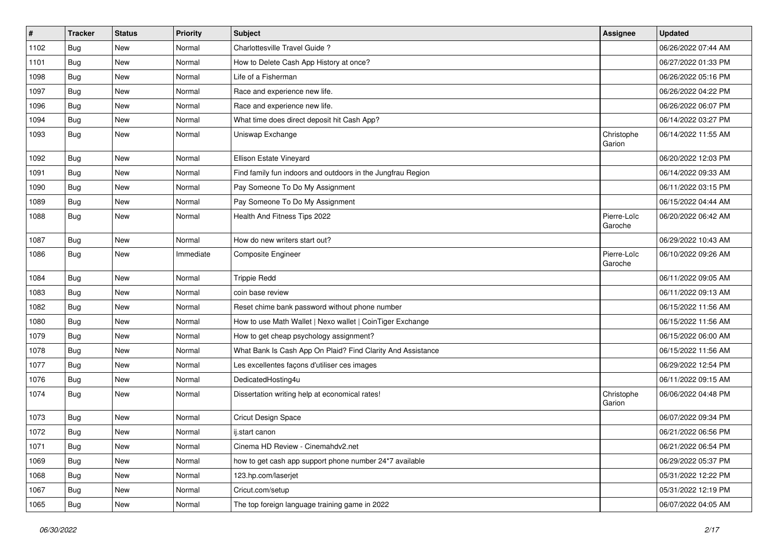| $\#$ | <b>Tracker</b> | <b>Status</b> | <b>Priority</b> | Subject                                                     | Assignee               | <b>Updated</b>      |
|------|----------------|---------------|-----------------|-------------------------------------------------------------|------------------------|---------------------|
| 1102 | <b>Bug</b>     | New           | Normal          | Charlottesville Travel Guide?                               |                        | 06/26/2022 07:44 AM |
| 1101 | Bug            | New           | Normal          | How to Delete Cash App History at once?                     |                        | 06/27/2022 01:33 PM |
| 1098 | <b>Bug</b>     | New           | Normal          | Life of a Fisherman                                         |                        | 06/26/2022 05:16 PM |
| 1097 | <b>Bug</b>     | New           | Normal          | Race and experience new life.                               |                        | 06/26/2022 04:22 PM |
| 1096 | Bug            | New           | Normal          | Race and experience new life.                               |                        | 06/26/2022 06:07 PM |
| 1094 | Bug            | New           | Normal          | What time does direct deposit hit Cash App?                 |                        | 06/14/2022 03:27 PM |
| 1093 | Bug            | <b>New</b>    | Normal          | Uniswap Exchange                                            | Christophe<br>Garion   | 06/14/2022 11:55 AM |
| 1092 | <b>Bug</b>     | <b>New</b>    | Normal          | Ellison Estate Vineyard                                     |                        | 06/20/2022 12:03 PM |
| 1091 | Bug            | New           | Normal          | Find family fun indoors and outdoors in the Jungfrau Region |                        | 06/14/2022 09:33 AM |
| 1090 | <b>Bug</b>     | New           | Normal          | Pay Someone To Do My Assignment                             |                        | 06/11/2022 03:15 PM |
| 1089 | Bug            | <b>New</b>    | Normal          | Pay Someone To Do My Assignment                             |                        | 06/15/2022 04:44 AM |
| 1088 | Bug            | New           | Normal          | Health And Fitness Tips 2022                                | Pierre-Loïc<br>Garoche | 06/20/2022 06:42 AM |
| 1087 | Bug            | <b>New</b>    | Normal          | How do new writers start out?                               |                        | 06/29/2022 10:43 AM |
| 1086 | Bug            | New           | Immediate       | <b>Composite Engineer</b>                                   | Pierre-Loïc<br>Garoche | 06/10/2022 09:26 AM |
| 1084 | Bug            | New           | Normal          | <b>Trippie Redd</b>                                         |                        | 06/11/2022 09:05 AM |
| 1083 | Bug            | New           | Normal          | coin base review                                            |                        | 06/11/2022 09:13 AM |
| 1082 | Bug            | New           | Normal          | Reset chime bank password without phone number              |                        | 06/15/2022 11:56 AM |
| 1080 | Bug            | New           | Normal          | How to use Math Wallet   Nexo wallet   CoinTiger Exchange   |                        | 06/15/2022 11:56 AM |
| 1079 | <b>Bug</b>     | New           | Normal          | How to get cheap psychology assignment?                     |                        | 06/15/2022 06:00 AM |
| 1078 | Bug            | New           | Normal          | What Bank Is Cash App On Plaid? Find Clarity And Assistance |                        | 06/15/2022 11:56 AM |
| 1077 | Bug            | New           | Normal          | Les excellentes façons d'utiliser ces images                |                        | 06/29/2022 12:54 PM |
| 1076 | Bug            | <b>New</b>    | Normal          | DedicatedHosting4u                                          |                        | 06/11/2022 09:15 AM |
| 1074 | Bug            | New           | Normal          | Dissertation writing help at economical rates!              | Christophe<br>Garion   | 06/06/2022 04:48 PM |
| 1073 | Bug            | <b>New</b>    | Normal          | Cricut Design Space                                         |                        | 06/07/2022 09:34 PM |
| 1072 | Bug            | New           | Normal          | ij.start canon                                              |                        | 06/21/2022 06:56 PM |
| 1071 | <b>Bug</b>     | New           | Normal          | Cinema HD Review - Cinemahdv2.net                           |                        | 06/21/2022 06:54 PM |
| 1069 | <b>Bug</b>     | New           | Normal          | how to get cash app support phone number 24*7 available     |                        | 06/29/2022 05:37 PM |
| 1068 | Bug            | New           | Normal          | 123.hp.com/laserjet                                         |                        | 05/31/2022 12:22 PM |
| 1067 | Bug            | New           | Normal          | Cricut.com/setup                                            |                        | 05/31/2022 12:19 PM |
| 1065 | <b>Bug</b>     | New           | Normal          | The top foreign language training game in 2022              |                        | 06/07/2022 04:05 AM |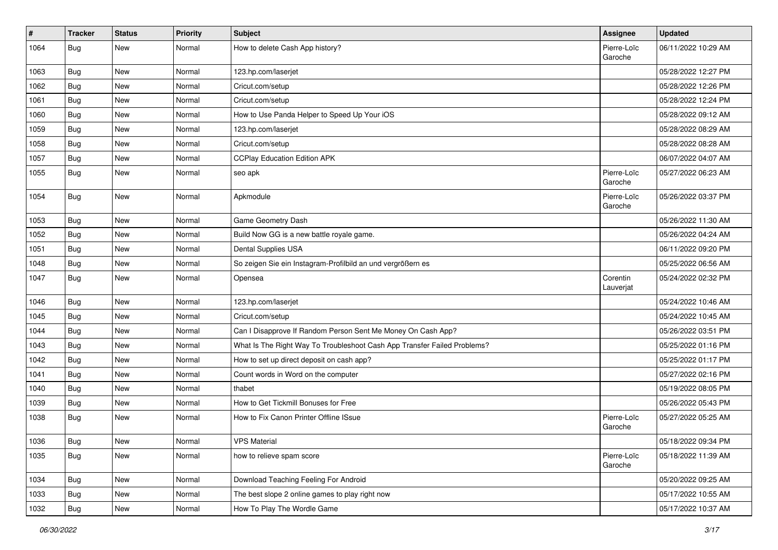| $\vert$ # | <b>Tracker</b> | <b>Status</b> | <b>Priority</b> | Subject                                                                  | <b>Assignee</b>        | <b>Updated</b>      |
|-----------|----------------|---------------|-----------------|--------------------------------------------------------------------------|------------------------|---------------------|
| 1064      | Bug            | New           | Normal          | How to delete Cash App history?                                          | Pierre-Loïc<br>Garoche | 06/11/2022 10:29 AM |
| 1063      | Bug            | New           | Normal          | 123.hp.com/laserjet                                                      |                        | 05/28/2022 12:27 PM |
| 1062      | Bug            | New           | Normal          | Cricut.com/setup                                                         |                        | 05/28/2022 12:26 PM |
| 1061      | <b>Bug</b>     | New           | Normal          | Cricut.com/setup                                                         |                        | 05/28/2022 12:24 PM |
| 1060      | <b>Bug</b>     | New           | Normal          | How to Use Panda Helper to Speed Up Your iOS                             |                        | 05/28/2022 09:12 AM |
| 1059      | <b>Bug</b>     | New           | Normal          | 123.hp.com/laserjet                                                      |                        | 05/28/2022 08:29 AM |
| 1058      | Bug            | New           | Normal          | Cricut.com/setup                                                         |                        | 05/28/2022 08:28 AM |
| 1057      | <b>Bug</b>     | New           | Normal          | <b>CCPlay Education Edition APK</b>                                      |                        | 06/07/2022 04:07 AM |
| 1055      | Bug            | New           | Normal          | seo apk                                                                  | Pierre-Loïc<br>Garoche | 05/27/2022 06:23 AM |
| 1054      | Bug            | New           | Normal          | Apkmodule                                                                | Pierre-Loïc<br>Garoche | 05/26/2022 03:37 PM |
| 1053      | <b>Bug</b>     | New           | Normal          | Game Geometry Dash                                                       |                        | 05/26/2022 11:30 AM |
| 1052      | <b>Bug</b>     | New           | Normal          | Build Now GG is a new battle royale game.                                |                        | 05/26/2022 04:24 AM |
| 1051      | Bug            | New           | Normal          | Dental Supplies USA                                                      |                        | 06/11/2022 09:20 PM |
| 1048      | Bug            | New           | Normal          | So zeigen Sie ein Instagram-Profilbild an und vergrößern es              |                        | 05/25/2022 06:56 AM |
| 1047      | Bug            | New           | Normal          | Opensea                                                                  | Corentin<br>Lauverjat  | 05/24/2022 02:32 PM |
| 1046      | <b>Bug</b>     | New           | Normal          | 123.hp.com/laserjet                                                      |                        | 05/24/2022 10:46 AM |
| 1045      | <b>Bug</b>     | New           | Normal          | Cricut.com/setup                                                         |                        | 05/24/2022 10:45 AM |
| 1044      | <b>Bug</b>     | New           | Normal          | Can I Disapprove If Random Person Sent Me Money On Cash App?             |                        | 05/26/2022 03:51 PM |
| 1043      | <b>Bug</b>     | New           | Normal          | What Is The Right Way To Troubleshoot Cash App Transfer Failed Problems? |                        | 05/25/2022 01:16 PM |
| 1042      | Bug            | New           | Normal          | How to set up direct deposit on cash app?                                |                        | 05/25/2022 01:17 PM |
| 1041      | Bug            | New           | Normal          | Count words in Word on the computer                                      |                        | 05/27/2022 02:16 PM |
| 1040      | <b>Bug</b>     | New           | Normal          | thabet                                                                   |                        | 05/19/2022 08:05 PM |
| 1039      | <b>Bug</b>     | New           | Normal          | How to Get Tickmill Bonuses for Free                                     |                        | 05/26/2022 05:43 PM |
| 1038      | Bug            | New           | Normal          | How to Fix Canon Printer Offline ISsue                                   | Pierre-Loïc<br>Garoche | 05/27/2022 05:25 AM |
| 1036      | <b>Bug</b>     | New           | Normal          | <b>VPS Material</b>                                                      |                        | 05/18/2022 09:34 PM |
| 1035      | <b>Bug</b>     | New           | Normal          | how to relieve spam score                                                | Pierre-Loïc<br>Garoche | 05/18/2022 11:39 AM |
| 1034      | Bug            | New           | Normal          | Download Teaching Feeling For Android                                    |                        | 05/20/2022 09:25 AM |
| 1033      | Bug            | New           | Normal          | The best slope 2 online games to play right now                          |                        | 05/17/2022 10:55 AM |
| 1032      | Bug            | New           | Normal          | How To Play The Wordle Game                                              |                        | 05/17/2022 10:37 AM |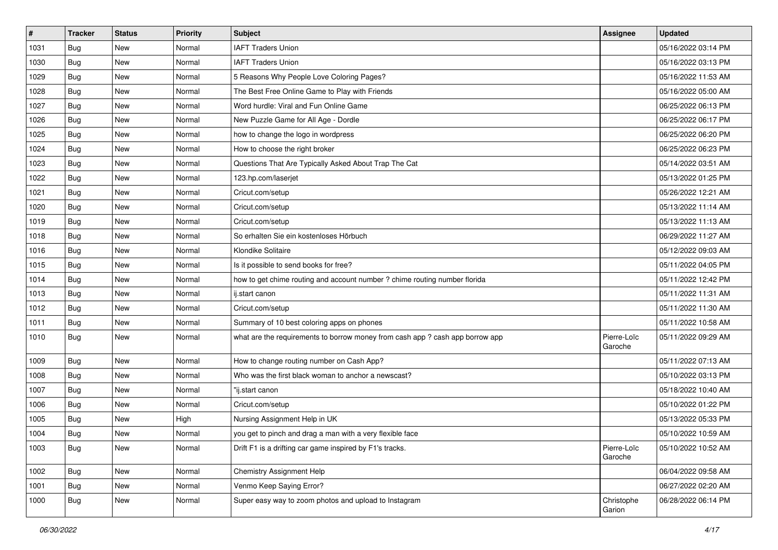| #    | <b>Tracker</b> | <b>Status</b> | <b>Priority</b> | <b>Subject</b>                                                                | <b>Assignee</b>        | <b>Updated</b>      |
|------|----------------|---------------|-----------------|-------------------------------------------------------------------------------|------------------------|---------------------|
| 1031 | Bug            | New           | Normal          | <b>IAFT Traders Union</b>                                                     |                        | 05/16/2022 03:14 PM |
| 1030 | Bug            | New           | Normal          | <b>IAFT Traders Union</b>                                                     |                        | 05/16/2022 03:13 PM |
| 1029 | Bug            | New           | Normal          | 5 Reasons Why People Love Coloring Pages?                                     |                        | 05/16/2022 11:53 AM |
| 1028 | Bug            | New           | Normal          | The Best Free Online Game to Play with Friends                                |                        | 05/16/2022 05:00 AM |
| 1027 | Bug            | <b>New</b>    | Normal          | Word hurdle: Viral and Fun Online Game                                        |                        | 06/25/2022 06:13 PM |
| 1026 | Bug            | New           | Normal          | New Puzzle Game for All Age - Dordle                                          |                        | 06/25/2022 06:17 PM |
| 1025 | Bug            | <b>New</b>    | Normal          | how to change the logo in wordpress                                           |                        | 06/25/2022 06:20 PM |
| 1024 | <b>Bug</b>     | New           | Normal          | How to choose the right broker                                                |                        | 06/25/2022 06:23 PM |
| 1023 | <b>Bug</b>     | New           | Normal          | Questions That Are Typically Asked About Trap The Cat                         |                        | 05/14/2022 03:51 AM |
| 1022 | Bug            | New           | Normal          | 123.hp.com/laserjet                                                           |                        | 05/13/2022 01:25 PM |
| 1021 | Bug            | New           | Normal          | Cricut.com/setup                                                              |                        | 05/26/2022 12:21 AM |
| 1020 | Bug            | New           | Normal          | Cricut.com/setup                                                              |                        | 05/13/2022 11:14 AM |
| 1019 | Bug            | New           | Normal          | Cricut.com/setup                                                              |                        | 05/13/2022 11:13 AM |
| 1018 | Bug            | New           | Normal          | So erhalten Sie ein kostenloses Hörbuch                                       |                        | 06/29/2022 11:27 AM |
| 1016 | Bug            | New           | Normal          | Klondike Solitaire                                                            |                        | 05/12/2022 09:03 AM |
| 1015 | Bug            | New           | Normal          | Is it possible to send books for free?                                        |                        | 05/11/2022 04:05 PM |
| 1014 | Bug            | New           | Normal          | how to get chime routing and account number ? chime routing number florida    |                        | 05/11/2022 12:42 PM |
| 1013 | Bug            | New           | Normal          | ij.start canon                                                                |                        | 05/11/2022 11:31 AM |
| 1012 | Bug            | New           | Normal          | Cricut.com/setup                                                              |                        | 05/11/2022 11:30 AM |
| 1011 | Bug            | New           | Normal          | Summary of 10 best coloring apps on phones                                    |                        | 05/11/2022 10:58 AM |
| 1010 | Bug            | New           | Normal          | what are the requirements to borrow money from cash app ? cash app borrow app | Pierre-Loïc<br>Garoche | 05/11/2022 09:29 AM |
| 1009 | Bug            | New           | Normal          | How to change routing number on Cash App?                                     |                        | 05/11/2022 07:13 AM |
| 1008 | Bug            | New           | Normal          | Who was the first black woman to anchor a newscast?                           |                        | 05/10/2022 03:13 PM |
| 1007 | Bug            | New           | Normal          | "ij.start canon                                                               |                        | 05/18/2022 10:40 AM |
| 1006 | Bug            | New           | Normal          | Cricut.com/setup                                                              |                        | 05/10/2022 01:22 PM |
| 1005 | Bug            | New           | High            | Nursing Assignment Help in UK                                                 |                        | 05/13/2022 05:33 PM |
| 1004 | <b>Bug</b>     | New           | Normal          | you get to pinch and drag a man with a very flexible face                     |                        | 05/10/2022 10:59 AM |
| 1003 | <b>Bug</b>     | New           | Normal          | Drift F1 is a drifting car game inspired by F1's tracks.                      | Pierre-Loïc<br>Garoche | 05/10/2022 10:52 AM |
| 1002 | <b>Bug</b>     | New           | Normal          | Chemistry Assignment Help                                                     |                        | 06/04/2022 09:58 AM |
| 1001 | Bug            | New           | Normal          | Venmo Keep Saying Error?                                                      |                        | 06/27/2022 02:20 AM |
| 1000 | Bug            | New           | Normal          | Super easy way to zoom photos and upload to Instagram                         | Christophe<br>Garion   | 06/28/2022 06:14 PM |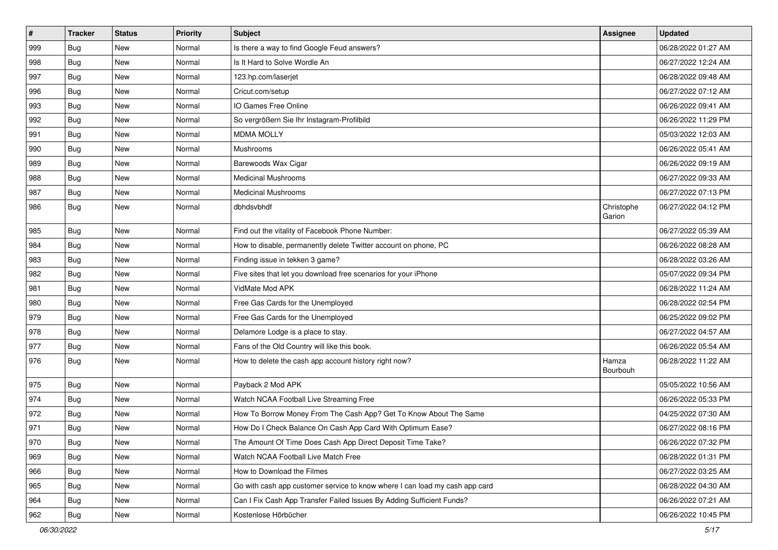| $\sharp$ | <b>Tracker</b> | <b>Status</b> | <b>Priority</b> | Subject                                                                     | <b>Assignee</b>      | <b>Updated</b>      |
|----------|----------------|---------------|-----------------|-----------------------------------------------------------------------------|----------------------|---------------------|
| 999      | Bug            | <b>New</b>    | Normal          | Is there a way to find Google Feud answers?                                 |                      | 06/28/2022 01:27 AM |
| 998      | Bug            | <b>New</b>    | Normal          | Is It Hard to Solve Wordle An                                               |                      | 06/27/2022 12:24 AM |
| 997      | <b>Bug</b>     | New           | Normal          | 123.hp.com/laserjet                                                         |                      | 06/28/2022 09:48 AM |
| 996      | Bug            | New           | Normal          | Cricut.com/setup                                                            |                      | 06/27/2022 07:12 AM |
| 993      | <b>Bug</b>     | New           | Normal          | IO Games Free Online                                                        |                      | 06/26/2022 09:41 AM |
| 992      | <b>Bug</b>     | New           | Normal          | So vergrößern Sie Ihr Instagram-Profilbild                                  |                      | 06/26/2022 11:29 PM |
| 991      | Bug            | New           | Normal          | <b>MDMA MOLLY</b>                                                           |                      | 05/03/2022 12:03 AM |
| 990      | <b>Bug</b>     | New           | Normal          | Mushrooms                                                                   |                      | 06/26/2022 05:41 AM |
| 989      | <b>Bug</b>     | New           | Normal          | Barewoods Wax Cigar                                                         |                      | 06/26/2022 09:19 AM |
| 988      | Bug            | New           | Normal          | <b>Medicinal Mushrooms</b>                                                  |                      | 06/27/2022 09:33 AM |
| 987      | <b>Bug</b>     | New           | Normal          | <b>Medicinal Mushrooms</b>                                                  |                      | 06/27/2022 07:13 PM |
| 986      | <b>Bug</b>     | New           | Normal          | dbhdsvbhdf                                                                  | Christophe<br>Garion | 06/27/2022 04:12 PM |
| 985      | Bug            | New           | Normal          | Find out the vitality of Facebook Phone Number:                             |                      | 06/27/2022 05:39 AM |
| 984      | Bug            | <b>New</b>    | Normal          | How to disable, permanently delete Twitter account on phone, PC             |                      | 06/26/2022 08:28 AM |
| 983      | <b>Bug</b>     | New           | Normal          | Finding issue in tekken 3 game?                                             |                      | 06/28/2022 03:26 AM |
| 982      | <b>Bug</b>     | New           | Normal          | Five sites that let you download free scenarios for your iPhone             |                      | 05/07/2022 09:34 PM |
| 981      | Bug            | New           | Normal          | VidMate Mod APK                                                             |                      | 06/28/2022 11:24 AM |
| 980      | Bug            | <b>New</b>    | Normal          | Free Gas Cards for the Unemployed                                           |                      | 06/28/2022 02:54 PM |
| 979      | Bug            | New           | Normal          | Free Gas Cards for the Unemployed                                           |                      | 06/25/2022 09:02 PM |
| 978      | <b>Bug</b>     | New           | Normal          | Delamore Lodge is a place to stay.                                          |                      | 06/27/2022 04:57 AM |
| 977      | <b>Bug</b>     | New           | Normal          | Fans of the Old Country will like this book.                                |                      | 06/26/2022 05:54 AM |
| 976      | <b>Bug</b>     | <b>New</b>    | Normal          | How to delete the cash app account history right now?                       | Hamza<br>Bourbouh    | 06/28/2022 11:22 AM |
| 975      | <b>Bug</b>     | New           | Normal          | Payback 2 Mod APK                                                           |                      | 05/05/2022 10:56 AM |
| 974      | <b>Bug</b>     | New           | Normal          | Watch NCAA Football Live Streaming Free                                     |                      | 06/26/2022 05:33 PM |
| 972      | <b>Bug</b>     | <b>New</b>    | Normal          | How To Borrow Money From The Cash App? Get To Know About The Same           |                      | 04/25/2022 07:30 AM |
| 971      | <b>Bug</b>     | <b>New</b>    | Normal          | How Do I Check Balance On Cash App Card With Optimum Ease?                  |                      | 06/27/2022 08:16 PM |
| 970      | Bug            | New           | Normal          | The Amount Of Time Does Cash App Direct Deposit Time Take?                  |                      | 06/26/2022 07:32 PM |
| 969      | <b>Bug</b>     | New           | Normal          | Watch NCAA Football Live Match Free                                         |                      | 06/28/2022 01:31 PM |
| 966      | Bug            | New           | Normal          | How to Download the Filmes                                                  |                      | 06/27/2022 03:25 AM |
| 965      | Bug            | New           | Normal          | Go with cash app customer service to know where I can load my cash app card |                      | 06/28/2022 04:30 AM |
| 964      | <b>Bug</b>     | New           | Normal          | Can I Fix Cash App Transfer Failed Issues By Adding Sufficient Funds?       |                      | 06/26/2022 07:21 AM |
| 962      | <b>Bug</b>     | New           | Normal          | Kostenlose Hörbücher                                                        |                      | 06/26/2022 10:45 PM |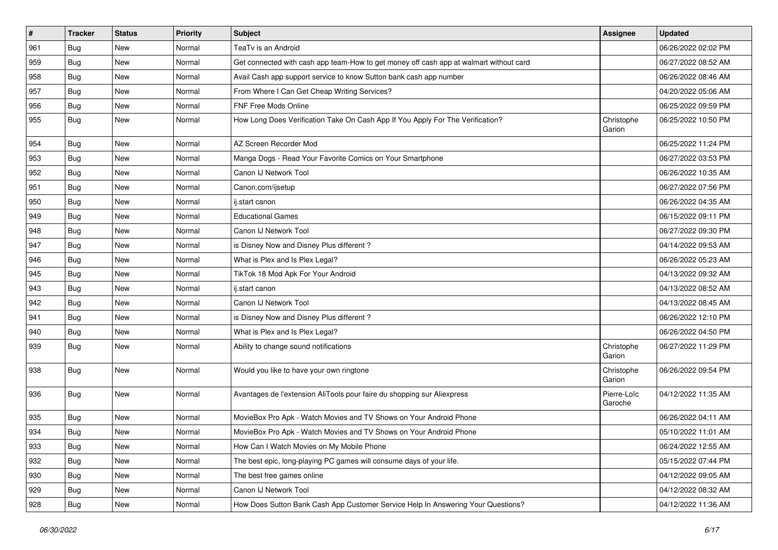| #   | <b>Tracker</b> | <b>Status</b> | <b>Priority</b> | <b>Subject</b>                                                                         | Assignee               | <b>Updated</b>      |
|-----|----------------|---------------|-----------------|----------------------------------------------------------------------------------------|------------------------|---------------------|
| 961 | <b>Bug</b>     | New           | Normal          | TeaTv is an Android                                                                    |                        | 06/26/2022 02:02 PM |
| 959 | Bug            | New           | Normal          | Get connected with cash app team-How to get money off cash app at walmart without card |                        | 06/27/2022 08:52 AM |
| 958 | <b>Bug</b>     | New           | Normal          | Avail Cash app support service to know Sutton bank cash app number                     |                        | 06/26/2022 08:46 AM |
| 957 | Bug            | <b>New</b>    | Normal          | From Where I Can Get Cheap Writing Services?                                           |                        | 04/20/2022 05:06 AM |
| 956 | Bug            | <b>New</b>    | Normal          | FNF Free Mods Online                                                                   |                        | 06/25/2022 09:59 PM |
| 955 | Bug            | New           | Normal          | How Long Does Verification Take On Cash App If You Apply For The Verification?         | Christophe<br>Garion   | 06/25/2022 10:50 PM |
| 954 | <b>Bug</b>     | New           | Normal          | AZ Screen Recorder Mod                                                                 |                        | 06/25/2022 11:24 PM |
| 953 | Bug            | <b>New</b>    | Normal          | Manga Dogs - Read Your Favorite Comics on Your Smartphone                              |                        | 06/27/2022 03:53 PM |
| 952 | <b>Bug</b>     | New           | Normal          | Canon IJ Network Tool                                                                  |                        | 06/26/2022 10:35 AM |
| 951 | <b>Bug</b>     | New           | Normal          | Canon.com/ijsetup                                                                      |                        | 06/27/2022 07:56 PM |
| 950 | <b>Bug</b>     | <b>New</b>    | Normal          | ij.start canon                                                                         |                        | 06/26/2022 04:35 AM |
| 949 | <b>Bug</b>     | <b>New</b>    | Normal          | <b>Educational Games</b>                                                               |                        | 06/15/2022 09:11 PM |
| 948 | Bug            | New           | Normal          | Canon IJ Network Tool                                                                  |                        | 06/27/2022 09:30 PM |
| 947 | <b>Bug</b>     | New           | Normal          | is Disney Now and Disney Plus different?                                               |                        | 04/14/2022 09:53 AM |
| 946 | Bug            | New           | Normal          | What is Plex and Is Plex Legal?                                                        |                        | 06/26/2022 05:23 AM |
| 945 | <b>Bug</b>     | New           | Normal          | TikTok 18 Mod Apk For Your Android                                                     |                        | 04/13/2022 09:32 AM |
| 943 | <b>Bug</b>     | <b>New</b>    | Normal          | ij.start canon                                                                         |                        | 04/13/2022 08:52 AM |
| 942 | Bug            | New           | Normal          | Canon IJ Network Tool                                                                  |                        | 04/13/2022 08:45 AM |
| 941 | <b>Bug</b>     | New           | Normal          | is Disney Now and Disney Plus different?                                               |                        | 06/26/2022 12:10 PM |
| 940 | <b>Bug</b>     | New           | Normal          | What is Plex and Is Plex Legal?                                                        |                        | 06/26/2022 04:50 PM |
| 939 | Bug            | New           | Normal          | Ability to change sound notifications                                                  | Christophe<br>Garion   | 06/27/2022 11:29 PM |
| 938 | Bug            | <b>New</b>    | Normal          | Would you like to have your own ringtone                                               | Christophe<br>Garion   | 06/26/2022 09:54 PM |
| 936 | Bug            | New           | Normal          | Avantages de l'extension AliTools pour faire du shopping sur Aliexpress                | Pierre-Loïc<br>Garoche | 04/12/2022 11:35 AM |
| 935 | Bug            | New           | Normal          | MovieBox Pro Apk - Watch Movies and TV Shows on Your Android Phone                     |                        | 06/26/2022 04:11 AM |
| 934 | Bug            | New           | Normal          | MovieBox Pro Apk - Watch Movies and TV Shows on Your Android Phone                     |                        | 05/10/2022 11:01 AM |
| 933 | <b>Bug</b>     | New           | Normal          | How Can I Watch Movies on My Mobile Phone                                              |                        | 06/24/2022 12:55 AM |
| 932 | Bug            | New           | Normal          | The best epic, long-playing PC games will consume days of your life.                   |                        | 05/15/2022 07:44 PM |
| 930 | Bug            | New           | Normal          | The best free games online                                                             |                        | 04/12/2022 09:05 AM |
| 929 | Bug            | New           | Normal          | Canon IJ Network Tool                                                                  |                        | 04/12/2022 08:32 AM |
| 928 | <b>Bug</b>     | New           | Normal          | How Does Sutton Bank Cash App Customer Service Help In Answering Your Questions?       |                        | 04/12/2022 11:36 AM |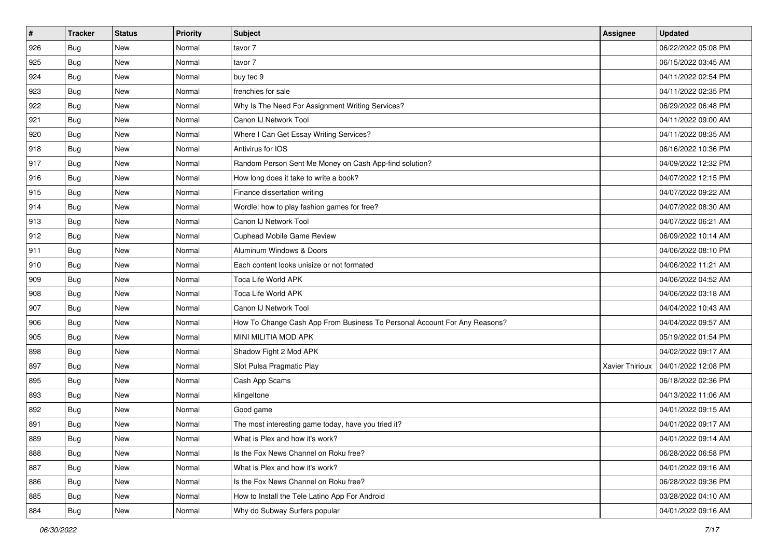| #   | <b>Tracker</b> | <b>Status</b> | <b>Priority</b> | <b>Subject</b>                                                            | Assignee        | <b>Updated</b>      |
|-----|----------------|---------------|-----------------|---------------------------------------------------------------------------|-----------------|---------------------|
| 926 | Bug            | New           | Normal          | tavor 7                                                                   |                 | 06/22/2022 05:08 PM |
| 925 | Bug            | <b>New</b>    | Normal          | tavor 7                                                                   |                 | 06/15/2022 03:45 AM |
| 924 | <b>Bug</b>     | New           | Normal          | buy tec 9                                                                 |                 | 04/11/2022 02:54 PM |
| 923 | Bug            | New           | Normal          | frenchies for sale                                                        |                 | 04/11/2022 02:35 PM |
| 922 | <b>Bug</b>     | <b>New</b>    | Normal          | Why Is The Need For Assignment Writing Services?                          |                 | 06/29/2022 06:48 PM |
| 921 | <b>Bug</b>     | New           | Normal          | Canon IJ Network Tool                                                     |                 | 04/11/2022 09:00 AM |
| 920 | Bug            | New           | Normal          | Where I Can Get Essay Writing Services?                                   |                 | 04/11/2022 08:35 AM |
| 918 | <b>Bug</b>     | New           | Normal          | Antivirus for IOS                                                         |                 | 06/16/2022 10:36 PM |
| 917 | Bug            | New           | Normal          | Random Person Sent Me Money on Cash App-find solution?                    |                 | 04/09/2022 12:32 PM |
| 916 | Bug            | <b>New</b>    | Normal          | How long does it take to write a book?                                    |                 | 04/07/2022 12:15 PM |
| 915 | <b>Bug</b>     | New           | Normal          | Finance dissertation writing                                              |                 | 04/07/2022 09:22 AM |
| 914 | Bug            | New           | Normal          | Wordle: how to play fashion games for free?                               |                 | 04/07/2022 08:30 AM |
| 913 | <b>Bug</b>     | New           | Normal          | Canon IJ Network Tool                                                     |                 | 04/07/2022 06:21 AM |
| 912 | Bug            | New           | Normal          | <b>Cuphead Mobile Game Review</b>                                         |                 | 06/09/2022 10:14 AM |
| 911 | Bug            | New           | Normal          | Aluminum Windows & Doors                                                  |                 | 04/06/2022 08:10 PM |
| 910 | Bug            | New           | Normal          | Each content looks unisize or not formated                                |                 | 04/06/2022 11:21 AM |
| 909 | Bug            | New           | Normal          | Toca Life World APK                                                       |                 | 04/06/2022 04:52 AM |
| 908 | <b>Bug</b>     | <b>New</b>    | Normal          | Toca Life World APK                                                       |                 | 04/06/2022 03:18 AM |
| 907 | Bug            | New           | Normal          | Canon IJ Network Tool                                                     |                 | 04/04/2022 10:43 AM |
| 906 | <b>Bug</b>     | <b>New</b>    | Normal          | How To Change Cash App From Business To Personal Account For Any Reasons? |                 | 04/04/2022 09:57 AM |
| 905 | Bug            | New           | Normal          | MINI MILITIA MOD APK                                                      |                 | 05/19/2022 01:54 PM |
| 898 | Bug            | New           | Normal          | Shadow Fight 2 Mod APK                                                    |                 | 04/02/2022 09:17 AM |
| 897 | Bug            | <b>New</b>    | Normal          | Slot Pulsa Pragmatic Play                                                 | Xavier Thirioux | 04/01/2022 12:08 PM |
| 895 | <b>Bug</b>     | New           | Normal          | Cash App Scams                                                            |                 | 06/18/2022 02:36 PM |
| 893 | Bug            | New           | Normal          | klingeltone                                                               |                 | 04/13/2022 11:06 AM |
| 892 | Bug            | New           | Normal          | Good game                                                                 |                 | 04/01/2022 09:15 AM |
| 891 | <b>Bug</b>     | <b>New</b>    | Normal          | The most interesting game today, have you tried it?                       |                 | 04/01/2022 09:17 AM |
| 889 | <b>Bug</b>     | New           | Normal          | What is Plex and how it's work?                                           |                 | 04/01/2022 09:14 AM |
| 888 | <b>Bug</b>     | New           | Normal          | Is the Fox News Channel on Roku free?                                     |                 | 06/28/2022 06:58 PM |
| 887 | <b>Bug</b>     | New           | Normal          | What is Plex and how it's work?                                           |                 | 04/01/2022 09:16 AM |
| 886 | <b>Bug</b>     | New           | Normal          | Is the Fox News Channel on Roku free?                                     |                 | 06/28/2022 09:36 PM |
| 885 | <b>Bug</b>     | New           | Normal          | How to Install the Tele Latino App For Android                            |                 | 03/28/2022 04:10 AM |
| 884 | Bug            | New           | Normal          | Why do Subway Surfers popular                                             |                 | 04/01/2022 09:16 AM |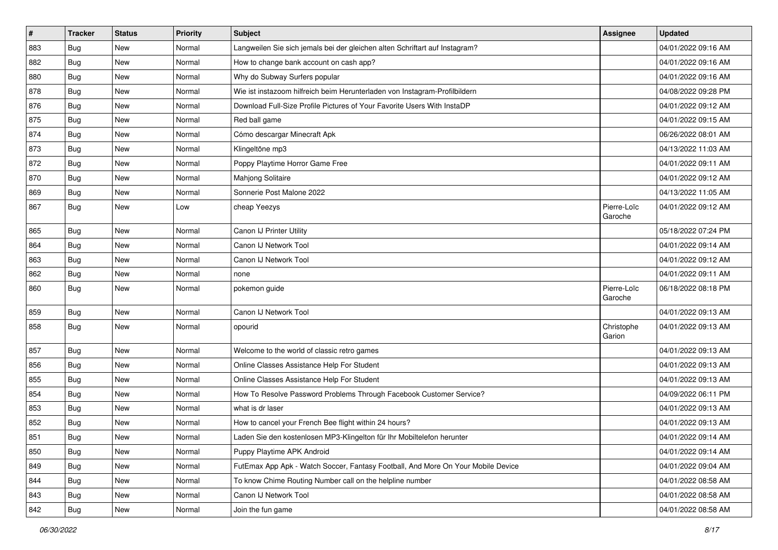| $\vert$ # | <b>Tracker</b> | <b>Status</b> | <b>Priority</b> | <b>Subject</b>                                                                   | <b>Assignee</b>        | <b>Updated</b>      |
|-----------|----------------|---------------|-----------------|----------------------------------------------------------------------------------|------------------------|---------------------|
| 883       | Bug            | New           | Normal          | Langweilen Sie sich jemals bei der gleichen alten Schriftart auf Instagram?      |                        | 04/01/2022 09:16 AM |
| 882       | Bug            | New           | Normal          | How to change bank account on cash app?                                          |                        | 04/01/2022 09:16 AM |
| 880       | Bug            | New           | Normal          | Why do Subway Surfers popular                                                    |                        | 04/01/2022 09:16 AM |
| 878       | <b>Bug</b>     | New           | Normal          | Wie ist instazoom hilfreich beim Herunterladen von Instagram-Profilbildern       |                        | 04/08/2022 09:28 PM |
| 876       | Bug            | New           | Normal          | Download Full-Size Profile Pictures of Your Favorite Users With InstaDP          |                        | 04/01/2022 09:12 AM |
| 875       | Bug            | New           | Normal          | Red ball game                                                                    |                        | 04/01/2022 09:15 AM |
| 874       | Bug            | New           | Normal          | Cómo descargar Minecraft Apk                                                     |                        | 06/26/2022 08:01 AM |
| 873       | Bug            | New           | Normal          | Klingeltöne mp3                                                                  |                        | 04/13/2022 11:03 AM |
| 872       | Bug            | New           | Normal          | Poppy Playtime Horror Game Free                                                  |                        | 04/01/2022 09:11 AM |
| 870       | Bug            | New           | Normal          | Mahjong Solitaire                                                                |                        | 04/01/2022 09:12 AM |
| 869       | <b>Bug</b>     | New           | Normal          | Sonnerie Post Malone 2022                                                        |                        | 04/13/2022 11:05 AM |
| 867       | Bug            | New           | Low             | cheap Yeezys                                                                     | Pierre-Loïc<br>Garoche | 04/01/2022 09:12 AM |
| 865       | Bug            | New           | Normal          | Canon IJ Printer Utility                                                         |                        | 05/18/2022 07:24 PM |
| 864       | Bug            | New           | Normal          | Canon IJ Network Tool                                                            |                        | 04/01/2022 09:14 AM |
| 863       | Bug            | New           | Normal          | Canon IJ Network Tool                                                            |                        | 04/01/2022 09:12 AM |
| 862       | <b>Bug</b>     | New           | Normal          | none                                                                             |                        | 04/01/2022 09:11 AM |
| 860       | <b>Bug</b>     | New           | Normal          | pokemon guide                                                                    | Pierre-Loïc<br>Garoche | 06/18/2022 08:18 PM |
| 859       | <b>Bug</b>     | New           | Normal          | Canon IJ Network Tool                                                            |                        | 04/01/2022 09:13 AM |
| 858       | Bug            | New           | Normal          | opourid                                                                          | Christophe<br>Garion   | 04/01/2022 09:13 AM |
| 857       | Bug            | New           | Normal          | Welcome to the world of classic retro games                                      |                        | 04/01/2022 09:13 AM |
| 856       | Bug            | New           | Normal          | Online Classes Assistance Help For Student                                       |                        | 04/01/2022 09:13 AM |
| 855       | Bug            | New           | Normal          | Online Classes Assistance Help For Student                                       |                        | 04/01/2022 09:13 AM |
| 854       | Bug            | New           | Normal          | How To Resolve Password Problems Through Facebook Customer Service?              |                        | 04/09/2022 06:11 PM |
| 853       | Bug            | New           | Normal          | what is dr laser                                                                 |                        | 04/01/2022 09:13 AM |
| 852       | Bug            | New           | Normal          | How to cancel your French Bee flight within 24 hours?                            |                        | 04/01/2022 09:13 AM |
| 851       | Bug            | New           | Normal          | aden Sie den kostenlosen MP3-Klingelton für Ihr Mobiltelefon herunter            |                        | 04/01/2022 09:14 AM |
| 850       | Bug            | New           | Normal          | Puppy Playtime APK Android                                                       |                        | 04/01/2022 09:14 AM |
| 849       | <b>Bug</b>     | New           | Normal          | FutEmax App Apk - Watch Soccer, Fantasy Football, And More On Your Mobile Device |                        | 04/01/2022 09:04 AM |
| 844       | Bug            | New           | Normal          | To know Chime Routing Number call on the helpline number                         |                        | 04/01/2022 08:58 AM |
| 843       | Bug            | New           | Normal          | Canon IJ Network Tool                                                            |                        | 04/01/2022 08:58 AM |
| 842       | <b>Bug</b>     | New           | Normal          | Join the fun game                                                                |                        | 04/01/2022 08:58 AM |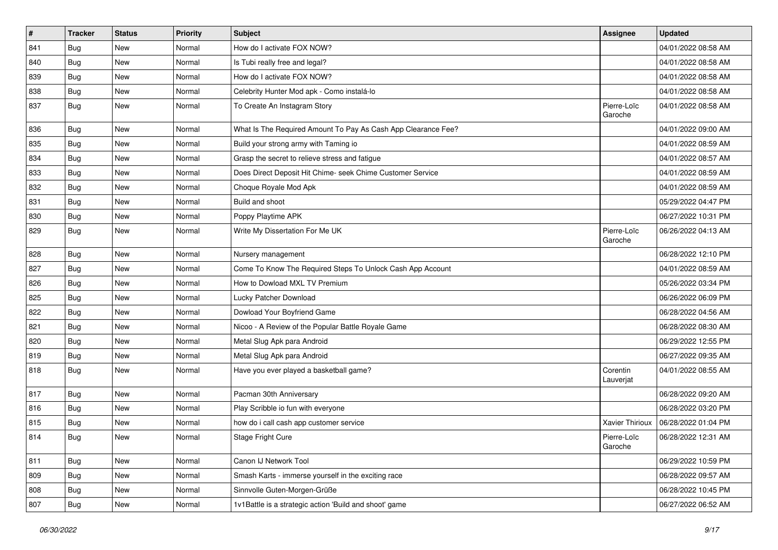| #   | <b>Tracker</b> | <b>Status</b> | <b>Priority</b> | Subject                                                       | <b>Assignee</b>        | <b>Updated</b>      |
|-----|----------------|---------------|-----------------|---------------------------------------------------------------|------------------------|---------------------|
| 841 | Bug            | New           | Normal          | How do I activate FOX NOW?                                    |                        | 04/01/2022 08:58 AM |
| 840 | <b>Bug</b>     | New           | Normal          | Is Tubi really free and legal?                                |                        | 04/01/2022 08:58 AM |
| 839 | <b>Bug</b>     | New           | Normal          | How do I activate FOX NOW?                                    |                        | 04/01/2022 08:58 AM |
| 838 | Bug            | New           | Normal          | Celebrity Hunter Mod apk - Como instalá-lo                    |                        | 04/01/2022 08:58 AM |
| 837 | Bug            | New           | Normal          | To Create An Instagram Story                                  | Pierre-Loïc<br>Garoche | 04/01/2022 08:58 AM |
| 836 | <b>Bug</b>     | New           | Normal          | What Is The Required Amount To Pay As Cash App Clearance Fee? |                        | 04/01/2022 09:00 AM |
| 835 | Bug            | New           | Normal          | Build your strong army with Taming io                         |                        | 04/01/2022 08:59 AM |
| 834 | Bug            | New           | Normal          | Grasp the secret to relieve stress and fatigue                |                        | 04/01/2022 08:57 AM |
| 833 | <b>Bug</b>     | New           | Normal          | Does Direct Deposit Hit Chime- seek Chime Customer Service    |                        | 04/01/2022 08:59 AM |
| 832 | <b>Bug</b>     | New           | Normal          | Choque Royale Mod Apk                                         |                        | 04/01/2022 08:59 AM |
| 831 | <b>Bug</b>     | New           | Normal          | Build and shoot                                               |                        | 05/29/2022 04:47 PM |
| 830 | Bug            | New           | Normal          | Poppy Playtime APK                                            |                        | 06/27/2022 10:31 PM |
| 829 | Bug            | New           | Normal          | Write My Dissertation For Me UK                               | Pierre-Loïc<br>Garoche | 06/26/2022 04:13 AM |
| 828 | Bug            | New           | Normal          | Nursery management                                            |                        | 06/28/2022 12:10 PM |
| 827 | <b>Bug</b>     | New           | Normal          | Come To Know The Required Steps To Unlock Cash App Account    |                        | 04/01/2022 08:59 AM |
| 826 | Bug            | New           | Normal          | How to Dowload MXL TV Premium                                 |                        | 05/26/2022 03:34 PM |
| 825 | <b>Bug</b>     | New           | Normal          | Lucky Patcher Download                                        |                        | 06/26/2022 06:09 PM |
| 822 | <b>Bug</b>     | New           | Normal          | Dowload Your Boyfriend Game                                   |                        | 06/28/2022 04:56 AM |
| 821 | Bug            | New           | Normal          | Nicoo - A Review of the Popular Battle Royale Game            |                        | 06/28/2022 08:30 AM |
| 820 | Bug            | New           | Normal          | Metal Slug Apk para Android                                   |                        | 06/29/2022 12:55 PM |
| 819 | <b>Bug</b>     | New           | Normal          | Metal Slug Apk para Android                                   |                        | 06/27/2022 09:35 AM |
| 818 | <b>Bug</b>     | New           | Normal          | Have you ever played a basketball game?                       | Corentin<br>Lauverjat  | 04/01/2022 08:55 AM |
| 817 | <b>Bug</b>     | New           | Normal          | Pacman 30th Anniversary                                       |                        | 06/28/2022 09:20 AM |
| 816 | <b>Bug</b>     | New           | Normal          | Play Scribble io fun with everyone                            |                        | 06/28/2022 03:20 PM |
| 815 | <b>Bug</b>     | New           | Normal          | how do i call cash app customer service                       | <b>Xavier Thirioux</b> | 06/28/2022 01:04 PM |
| 814 | Bug            | New           | Normal          | Stage Fright Cure                                             | Pierre-Loïc<br>Garoche | 06/28/2022 12:31 AM |
| 811 | Bug            | New           | Normal          | Canon IJ Network Tool                                         |                        | 06/29/2022 10:59 PM |
| 809 | Bug            | New           | Normal          | Smash Karts - immerse yourself in the exciting race           |                        | 06/28/2022 09:57 AM |
| 808 | Bug            | New           | Normal          | Sinnvolle Guten-Morgen-Grüße                                  |                        | 06/28/2022 10:45 PM |
| 807 | <b>Bug</b>     | New           | Normal          | 1v1Battle is a strategic action 'Build and shoot' game        |                        | 06/27/2022 06:52 AM |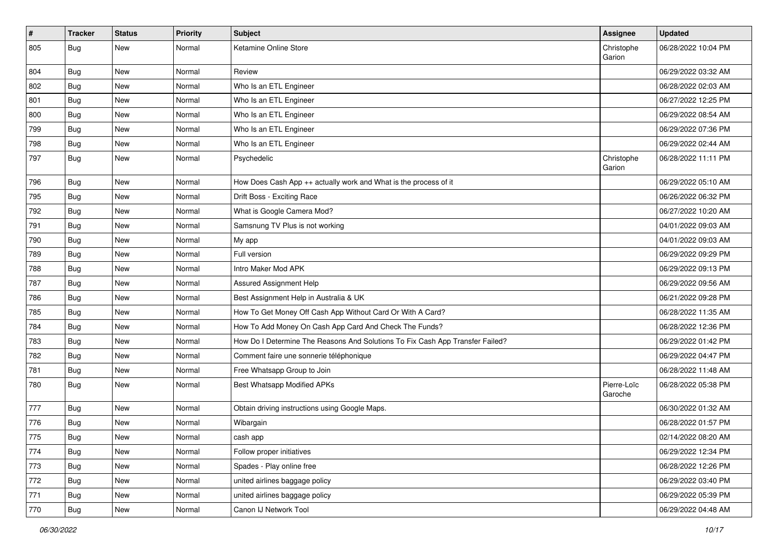| $\pmb{\#}$ | <b>Tracker</b> | <b>Status</b> | <b>Priority</b> | <b>Subject</b>                                                                | <b>Assignee</b>        | <b>Updated</b>      |
|------------|----------------|---------------|-----------------|-------------------------------------------------------------------------------|------------------------|---------------------|
| 805        | <b>Bug</b>     | New           | Normal          | Ketamine Online Store                                                         | Christophe<br>Garion   | 06/28/2022 10:04 PM |
| 804        | <b>Bug</b>     | New           | Normal          | Review                                                                        |                        | 06/29/2022 03:32 AM |
| 802        | <b>Bug</b>     | New           | Normal          | Who Is an ETL Engineer                                                        |                        | 06/28/2022 02:03 AM |
| 801        | Bug            | <b>New</b>    | Normal          | Who Is an ETL Engineer                                                        |                        | 06/27/2022 12:25 PM |
| 800        | <b>Bug</b>     | New           | Normal          | Who Is an ETL Engineer                                                        |                        | 06/29/2022 08:54 AM |
| 799        | Bug            | New           | Normal          | Who Is an ETL Engineer                                                        |                        | 06/29/2022 07:36 PM |
| 798        | <b>Bug</b>     | New           | Normal          | Who Is an ETL Engineer                                                        |                        | 06/29/2022 02:44 AM |
| 797        | <b>Bug</b>     | New           | Normal          | Psychedelic                                                                   | Christophe<br>Garion   | 06/28/2022 11:11 PM |
| 796        | <b>Bug</b>     | New           | Normal          | How Does Cash App ++ actually work and What is the process of it              |                        | 06/29/2022 05:10 AM |
| 795        | <b>Bug</b>     | New           | Normal          | Drift Boss - Exciting Race                                                    |                        | 06/26/2022 06:32 PM |
| 792        | <b>Bug</b>     | New           | Normal          | What is Google Camera Mod?                                                    |                        | 06/27/2022 10:20 AM |
| 791        | <b>Bug</b>     | New           | Normal          | Samsnung TV Plus is not working                                               |                        | 04/01/2022 09:03 AM |
| 790        | Bug            | New           | Normal          | My app                                                                        |                        | 04/01/2022 09:03 AM |
| 789        | <b>Bug</b>     | New           | Normal          | Full version                                                                  |                        | 06/29/2022 09:29 PM |
| 788        | Bug            | New           | Normal          | Intro Maker Mod APK                                                           |                        | 06/29/2022 09:13 PM |
| 787        | <b>Bug</b>     | New           | Normal          | Assured Assignment Help                                                       |                        | 06/29/2022 09:56 AM |
| 786        | <b>Bug</b>     | New           | Normal          | Best Assignment Help in Australia & UK                                        |                        | 06/21/2022 09:28 PM |
| 785        | Bug            | New           | Normal          | How To Get Money Off Cash App Without Card Or With A Card?                    |                        | 06/28/2022 11:35 AM |
| 784        | Bug            | New           | Normal          | How To Add Money On Cash App Card And Check The Funds?                        |                        | 06/28/2022 12:36 PM |
| 783        | <b>Bug</b>     | New           | Normal          | How Do I Determine The Reasons And Solutions To Fix Cash App Transfer Failed? |                        | 06/29/2022 01:42 PM |
| 782        | Bug            | New           | Normal          | Comment faire une sonnerie téléphonique                                       |                        | 06/29/2022 04:47 PM |
| 781        | <b>Bug</b>     | New           | Normal          | Free Whatsapp Group to Join                                                   |                        | 06/28/2022 11:48 AM |
| 780        | <b>Bug</b>     | New           | Normal          | <b>Best Whatsapp Modified APKs</b>                                            | Pierre-Loïc<br>Garoche | 06/28/2022 05:38 PM |
| 777        | <b>Bug</b>     | New           | Normal          | Obtain driving instructions using Google Maps.                                |                        | 06/30/2022 01:32 AM |
| 776        | <b>Bug</b>     | <b>New</b>    | Normal          | Wibargain                                                                     |                        | 06/28/2022 01:57 PM |
| 775        | Bug            | New           | Normal          | cash app                                                                      |                        | 02/14/2022 08:20 AM |
| 774        | Bug            | New           | Normal          | Follow proper initiatives                                                     |                        | 06/29/2022 12:34 PM |
| 773        | Bug            | New           | Normal          | Spades - Play online free                                                     |                        | 06/28/2022 12:26 PM |
| 772        | Bug            | New           | Normal          | united airlines baggage policy                                                |                        | 06/29/2022 03:40 PM |
| 771        | <b>Bug</b>     | New           | Normal          | united airlines baggage policy                                                |                        | 06/29/2022 05:39 PM |
| 770        | <b>Bug</b>     | New           | Normal          | Canon IJ Network Tool                                                         |                        | 06/29/2022 04:48 AM |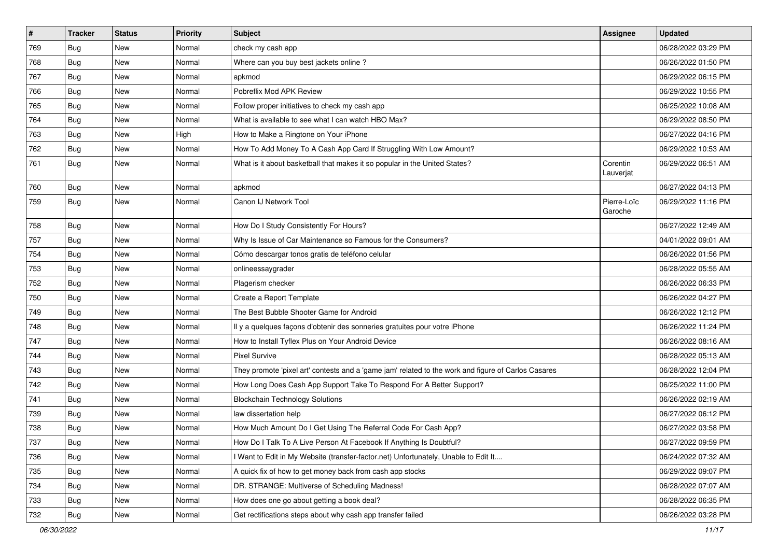| $\vert$ # | <b>Tracker</b> | <b>Status</b> | <b>Priority</b> | <b>Subject</b>                                                                                      | Assignee               | <b>Updated</b>      |
|-----------|----------------|---------------|-----------------|-----------------------------------------------------------------------------------------------------|------------------------|---------------------|
| 769       | Bug            | New           | Normal          | check my cash app                                                                                   |                        | 06/28/2022 03:29 PM |
| 768       | Bug            | New           | Normal          | Where can you buy best jackets online?                                                              |                        | 06/26/2022 01:50 PM |
| 767       | Bug            | New           | Normal          | apkmod                                                                                              |                        | 06/29/2022 06:15 PM |
| 766       | <b>Bug</b>     | New           | Normal          | Pobreflix Mod APK Review                                                                            |                        | 06/29/2022 10:55 PM |
| 765       | Bug            | <b>New</b>    | Normal          | Follow proper initiatives to check my cash app                                                      |                        | 06/25/2022 10:08 AM |
| 764       | Bug            | New           | Normal          | What is available to see what I can watch HBO Max?                                                  |                        | 06/29/2022 08:50 PM |
| 763       | Bug            | <b>New</b>    | High            | How to Make a Ringtone on Your iPhone                                                               |                        | 06/27/2022 04:16 PM |
| 762       | <b>Bug</b>     | New           | Normal          | How To Add Money To A Cash App Card If Struggling With Low Amount?                                  |                        | 06/29/2022 10:53 AM |
| 761       | Bug            | New           | Normal          | What is it about basketball that makes it so popular in the United States?                          | Corentin<br>Lauverjat  | 06/29/2022 06:51 AM |
| 760       | Bug            | <b>New</b>    | Normal          | apkmod                                                                                              |                        | 06/27/2022 04:13 PM |
| 759       | Bug            | New           | Normal          | Canon IJ Network Tool                                                                               | Pierre-Loïc<br>Garoche | 06/29/2022 11:16 PM |
| 758       | Bug            | New           | Normal          | How Do I Study Consistently For Hours?                                                              |                        | 06/27/2022 12:49 AM |
| 757       | Bug            | <b>New</b>    | Normal          | Why Is Issue of Car Maintenance so Famous for the Consumers?                                        |                        | 04/01/2022 09:01 AM |
| 754       | Bug            | New           | Normal          | Cómo descargar tonos gratis de teléfono celular                                                     |                        | 06/26/2022 01:56 PM |
| 753       | <b>Bug</b>     | New           | Normal          | onlineessaygrader                                                                                   |                        | 06/28/2022 05:55 AM |
| 752       | Bug            | New           | Normal          | Plagerism checker                                                                                   |                        | 06/26/2022 06:33 PM |
| 750       | <b>Bug</b>     | New           | Normal          | Create a Report Template                                                                            |                        | 06/26/2022 04:27 PM |
| 749       | Bug            | New           | Normal          | The Best Bubble Shooter Game for Android                                                            |                        | 06/26/2022 12:12 PM |
| 748       | Bug            | New           | Normal          | Il y a quelques façons d'obtenir des sonneries gratuites pour votre iPhone                          |                        | 06/26/2022 11:24 PM |
| 747       | <b>Bug</b>     | <b>New</b>    | Normal          | How to Install Tyflex Plus on Your Android Device                                                   |                        | 06/26/2022 08:16 AM |
| 744       | Bug            | New           | Normal          | <b>Pixel Survive</b>                                                                                |                        | 06/28/2022 05:13 AM |
| 743       | <b>Bug</b>     | New           | Normal          | They promote 'pixel art' contests and a 'game jam' related to the work and figure of Carlos Casares |                        | 06/28/2022 12:04 PM |
| 742       | Bug            | New           | Normal          | How Long Does Cash App Support Take To Respond For A Better Support?                                |                        | 06/25/2022 11:00 PM |
| 741       | Bug            | <b>New</b>    | Normal          | <b>Blockchain Technology Solutions</b>                                                              |                        | 06/26/2022 02:19 AM |
| 739       | <b>Bug</b>     | New           | Normal          | law dissertation help                                                                               |                        | 06/27/2022 06:12 PM |
| 738       | <b>Bug</b>     | New           | Normal          | How Much Amount Do I Get Using The Referral Code For Cash App?                                      |                        | 06/27/2022 03:58 PM |
| 737       | Bug            | New           | Normal          | How Do I Talk To A Live Person At Facebook If Anything Is Doubtful?                                 |                        | 06/27/2022 09:59 PM |
| 736       | Bug            | New           | Normal          | I Want to Edit in My Website (transfer-factor.net) Unfortunately, Unable to Edit It                 |                        | 06/24/2022 07:32 AM |
| 735       | Bug            | New           | Normal          | A quick fix of how to get money back from cash app stocks                                           |                        | 06/29/2022 09:07 PM |
| 734       | Bug            | New           | Normal          | DR. STRANGE: Multiverse of Scheduling Madness!                                                      |                        | 06/28/2022 07:07 AM |
| 733       | Bug            | New           | Normal          | How does one go about getting a book deal?                                                          |                        | 06/28/2022 06:35 PM |
| 732       | <b>Bug</b>     | New           | Normal          | Get rectifications steps about why cash app transfer failed                                         |                        | 06/26/2022 03:28 PM |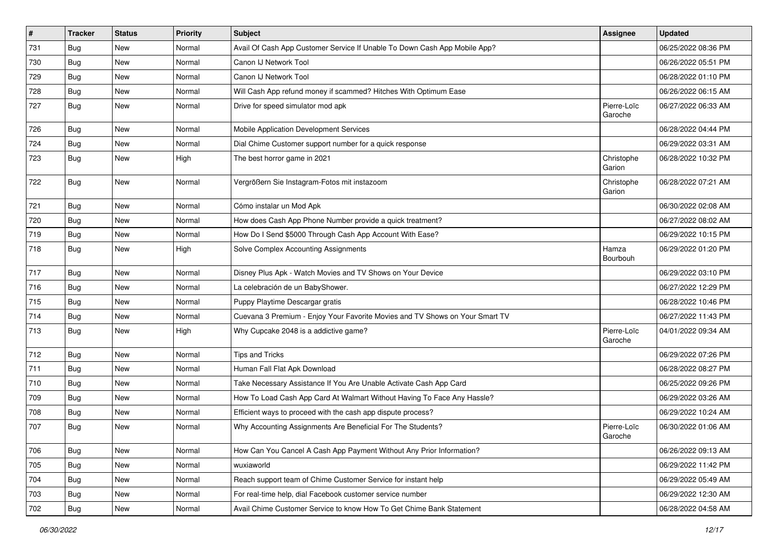| $\vert$ # | <b>Tracker</b> | <b>Status</b> | <b>Priority</b> | <b>Subject</b>                                                               | Assignee               | <b>Updated</b>      |
|-----------|----------------|---------------|-----------------|------------------------------------------------------------------------------|------------------------|---------------------|
| 731       | <b>Bug</b>     | New           | Normal          | Avail Of Cash App Customer Service If Unable To Down Cash App Mobile App?    |                        | 06/25/2022 08:36 PM |
| 730       | Bug            | New           | Normal          | Canon IJ Network Tool                                                        |                        | 06/26/2022 05:51 PM |
| 729       | <b>Bug</b>     | New           | Normal          | Canon IJ Network Tool                                                        |                        | 06/28/2022 01:10 PM |
| 728       | Bug            | New           | Normal          | Will Cash App refund money if scammed? Hitches With Optimum Ease             |                        | 06/26/2022 06:15 AM |
| 727       | <b>Bug</b>     | New           | Normal          | Drive for speed simulator mod apk                                            | Pierre-Loïc<br>Garoche | 06/27/2022 06:33 AM |
| 726       | Bug            | New           | Normal          | Mobile Application Development Services                                      |                        | 06/28/2022 04:44 PM |
| 724       | Bug            | <b>New</b>    | Normal          | Dial Chime Customer support number for a quick response                      |                        | 06/29/2022 03:31 AM |
| 723       | <b>Bug</b>     | New           | High            | The best horror game in 2021                                                 | Christophe<br>Garion   | 06/28/2022 10:32 PM |
| 722       | Bug            | New           | Normal          | Vergrößern Sie Instagram-Fotos mit instazoom                                 | Christophe<br>Garion   | 06/28/2022 07:21 AM |
| 721       | Bug            | New           | Normal          | Cómo instalar un Mod Apk                                                     |                        | 06/30/2022 02:08 AM |
| 720       | Bug            | New           | Normal          | How does Cash App Phone Number provide a quick treatment?                    |                        | 06/27/2022 08:02 AM |
| 719       | <b>Bug</b>     | New           | Normal          | How Do I Send \$5000 Through Cash App Account With Ease?                     |                        | 06/29/2022 10:15 PM |
| 718       | Bug            | New           | High            | Solve Complex Accounting Assignments                                         | Hamza<br>Bourbouh      | 06/29/2022 01:20 PM |
| 717       | Bug            | <b>New</b>    | Normal          | Disney Plus Apk - Watch Movies and TV Shows on Your Device                   |                        | 06/29/2022 03:10 PM |
| 716       | <b>Bug</b>     | New           | Normal          | La celebración de un BabyShower.                                             |                        | 06/27/2022 12:29 PM |
| 715       | Bug            | New           | Normal          | Puppy Playtime Descargar gratis                                              |                        | 06/28/2022 10:46 PM |
| 714       | Bug            | New           | Normal          | Cuevana 3 Premium - Enjoy Your Favorite Movies and TV Shows on Your Smart TV |                        | 06/27/2022 11:43 PM |
| 713       | Bug            | <b>New</b>    | High            | Why Cupcake 2048 is a addictive game?                                        | Pierre-Loïc<br>Garoche | 04/01/2022 09:34 AM |
| 712       | Bug            | <b>New</b>    | Normal          | <b>Tips and Tricks</b>                                                       |                        | 06/29/2022 07:26 PM |
| 711       | Bug            | New           | Normal          | Human Fall Flat Apk Download                                                 |                        | 06/28/2022 08:27 PM |
| 710       | Bug            | <b>New</b>    | Normal          | Take Necessary Assistance If You Are Unable Activate Cash App Card           |                        | 06/25/2022 09:26 PM |
| 709       | <b>Bug</b>     | New           | Normal          | How To Load Cash App Card At Walmart Without Having To Face Any Hassle?      |                        | 06/29/2022 03:26 AM |
| 708       | <b>Bug</b>     | New           | Normal          | Efficient ways to proceed with the cash app dispute process?                 |                        | 06/29/2022 10:24 AM |
| 707       | Bug            | New           | Normal          | Why Accounting Assignments Are Beneficial For The Students?                  | Pierre-Loïc<br>Garoche | 06/30/2022 01:06 AM |
| 706       | Bug            | New           | Normal          | How Can You Cancel A Cash App Payment Without Any Prior Information?         |                        | 06/26/2022 09:13 AM |
| 705       | Bug            | New           | Normal          | wuxiaworld                                                                   |                        | 06/29/2022 11:42 PM |
| 704       | Bug            | New           | Normal          | Reach support team of Chime Customer Service for instant help                |                        | 06/29/2022 05:49 AM |
| 703       | <b>Bug</b>     | New           | Normal          | For real-time help, dial Facebook customer service number                    |                        | 06/29/2022 12:30 AM |
| 702       | Bug            | New           | Normal          | Avail Chime Customer Service to know How To Get Chime Bank Statement         |                        | 06/28/2022 04:58 AM |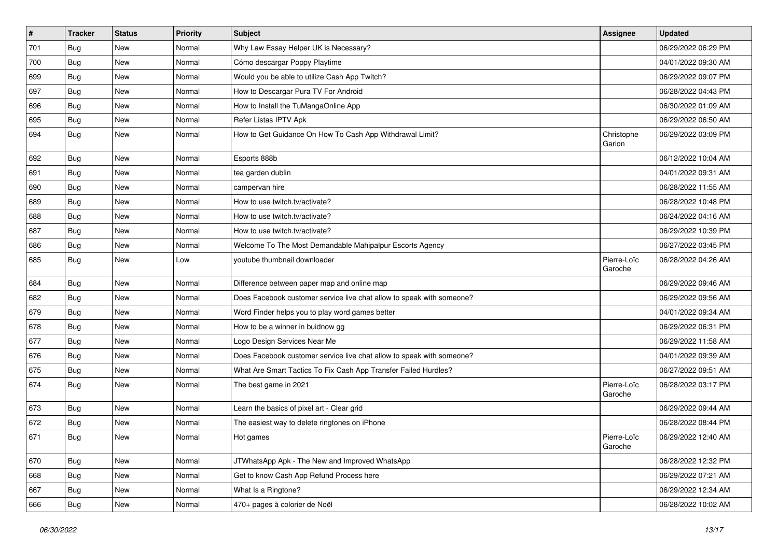| #   | <b>Tracker</b> | <b>Status</b> | <b>Priority</b> | <b>Subject</b>                                                        | <b>Assignee</b>        | <b>Updated</b>      |
|-----|----------------|---------------|-----------------|-----------------------------------------------------------------------|------------------------|---------------------|
| 701 | Bug            | New           | Normal          | Why Law Essay Helper UK is Necessary?                                 |                        | 06/29/2022 06:29 PM |
| 700 | <b>Bug</b>     | New           | Normal          | Cómo descargar Poppy Playtime                                         |                        | 04/01/2022 09:30 AM |
| 699 | Bug            | New           | Normal          | Would you be able to utilize Cash App Twitch?                         |                        | 06/29/2022 09:07 PM |
| 697 | Bug            | New           | Normal          | How to Descargar Pura TV For Android                                  |                        | 06/28/2022 04:43 PM |
| 696 | <b>Bug</b>     | <b>New</b>    | Normal          | How to Install the TuMangaOnline App                                  |                        | 06/30/2022 01:09 AM |
| 695 | Bug            | New           | Normal          | Refer Listas IPTV Apk                                                 |                        | 06/29/2022 06:50 AM |
| 694 | <b>Bug</b>     | New           | Normal          | How to Get Guidance On How To Cash App Withdrawal Limit?              | Christophe<br>Garion   | 06/29/2022 03:09 PM |
| 692 | <b>Bug</b>     | <b>New</b>    | Normal          | Esports 888b                                                          |                        | 06/12/2022 10:04 AM |
| 691 | Bug            | New           | Normal          | tea garden dublin                                                     |                        | 04/01/2022 09:31 AM |
| 690 | Bug            | <b>New</b>    | Normal          | campervan hire                                                        |                        | 06/28/2022 11:55 AM |
| 689 | Bug            | New           | Normal          | How to use twitch.tv/activate?                                        |                        | 06/28/2022 10:48 PM |
| 688 | Bug            | New           | Normal          | How to use twitch.tv/activate?                                        |                        | 06/24/2022 04:16 AM |
| 687 | Bug            | New           | Normal          | How to use twitch.tv/activate?                                        |                        | 06/29/2022 10:39 PM |
| 686 | Bug            | New           | Normal          | Welcome To The Most Demandable Mahipalpur Escorts Agency              |                        | 06/27/2022 03:45 PM |
| 685 | Bug            | New           | Low             | voutube thumbnail downloader                                          | Pierre-Loïc<br>Garoche | 06/28/2022 04:26 AM |
| 684 | Bug            | New           | Normal          | Difference between paper map and online map                           |                        | 06/29/2022 09:46 AM |
| 682 | Bug            | New           | Normal          | Does Facebook customer service live chat allow to speak with someone? |                        | 06/29/2022 09:56 AM |
| 679 | Bug            | New           | Normal          | Word Finder helps you to play word games better                       |                        | 04/01/2022 09:34 AM |
| 678 | Bug            | New           | Normal          | How to be a winner in buidnow gg                                      |                        | 06/29/2022 06:31 PM |
| 677 | <b>Bug</b>     | New           | Normal          | Logo Design Services Near Me                                          |                        | 06/29/2022 11:58 AM |
| 676 | Bug            | New           | Normal          | Does Facebook customer service live chat allow to speak with someone? |                        | 04/01/2022 09:39 AM |
| 675 | <b>Bug</b>     | New           | Normal          | What Are Smart Tactics To Fix Cash App Transfer Failed Hurdles?       |                        | 06/27/2022 09:51 AM |
| 674 | Bug            | New           | Normal          | The best game in 2021                                                 | Pierre-Loïc<br>Garoche | 06/28/2022 03:17 PM |
| 673 | Bug            | New           | Normal          | Learn the basics of pixel art - Clear grid                            |                        | 06/29/2022 09:44 AM |
| 672 | <b>Bug</b>     | New           | Normal          | The easiest way to delete ringtones on iPhone                         |                        | 06/28/2022 08:44 PM |
| 671 | Bug            | New           | Normal          | Hot games                                                             | Pierre-Loïc<br>Garoche | 06/29/2022 12:40 AM |
| 670 | Bug            | New           | Normal          | JTWhatsApp Apk - The New and Improved WhatsApp                        |                        | 06/28/2022 12:32 PM |
| 668 | <b>Bug</b>     | New           | Normal          | Get to know Cash App Refund Process here                              |                        | 06/29/2022 07:21 AM |
| 667 | <b>Bug</b>     | New           | Normal          | What Is a Ringtone?                                                   |                        | 06/29/2022 12:34 AM |
| 666 | <b>Bug</b>     | New           | Normal          | 470+ pages à colorier de Noël                                         |                        | 06/28/2022 10:02 AM |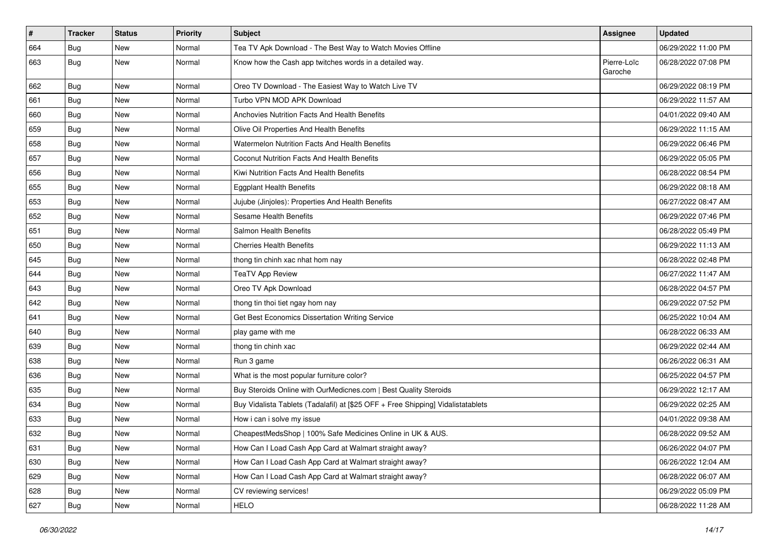| #   | <b>Tracker</b> | <b>Status</b> | <b>Priority</b> | <b>Subject</b>                                                                   | Assignee               | <b>Updated</b>      |
|-----|----------------|---------------|-----------------|----------------------------------------------------------------------------------|------------------------|---------------------|
| 664 | Bug            | <b>New</b>    | Normal          | Tea TV Apk Download - The Best Way to Watch Movies Offline                       |                        | 06/29/2022 11:00 PM |
| 663 | Bug            | New           | Normal          | Know how the Cash app twitches words in a detailed way.                          | Pierre-Loïc<br>Garoche | 06/28/2022 07:08 PM |
| 662 | <b>Bug</b>     | New           | Normal          | Oreo TV Download - The Easiest Way to Watch Live TV                              |                        | 06/29/2022 08:19 PM |
| 661 | Bug            | <b>New</b>    | Normal          | Turbo VPN MOD APK Download                                                       |                        | 06/29/2022 11:57 AM |
| 660 | <b>Bug</b>     | New           | Normal          | Anchovies Nutrition Facts And Health Benefits                                    |                        | 04/01/2022 09:40 AM |
| 659 | Bug            | <b>New</b>    | Normal          | Olive Oil Properties And Health Benefits                                         |                        | 06/29/2022 11:15 AM |
| 658 | <b>Bug</b>     | New           | Normal          | Watermelon Nutrition Facts And Health Benefits                                   |                        | 06/29/2022 06:46 PM |
| 657 | <b>Bug</b>     | New           | Normal          | Coconut Nutrition Facts And Health Benefits                                      |                        | 06/29/2022 05:05 PM |
| 656 | Bug            | New           | Normal          | Kiwi Nutrition Facts And Health Benefits                                         |                        | 06/28/2022 08:54 PM |
| 655 | Bug            | New           | Normal          | <b>Eggplant Health Benefits</b>                                                  |                        | 06/29/2022 08:18 AM |
| 653 | Bug            | New           | Normal          | Jujube (Jinjoles): Properties And Health Benefits                                |                        | 06/27/2022 08:47 AM |
| 652 | <b>Bug</b>     | New           | Normal          | Sesame Health Benefits                                                           |                        | 06/29/2022 07:46 PM |
| 651 | Bug            | New           | Normal          | Salmon Health Benefits                                                           |                        | 06/28/2022 05:49 PM |
| 650 | Bug            | New           | Normal          | <b>Cherries Health Benefits</b>                                                  |                        | 06/29/2022 11:13 AM |
| 645 | <b>Bug</b>     | <b>New</b>    | Normal          | thong tin chinh xac nhat hom nay                                                 |                        | 06/28/2022 02:48 PM |
| 644 | Bug            | New           | Normal          | <b>TeaTV App Review</b>                                                          |                        | 06/27/2022 11:47 AM |
| 643 | <b>Bug</b>     | <b>New</b>    | Normal          | Oreo TV Apk Download                                                             |                        | 06/28/2022 04:57 PM |
| 642 | Bug            | <b>New</b>    | Normal          | thong tin thoi tiet ngay hom nay                                                 |                        | 06/29/2022 07:52 PM |
| 641 | Bug            | <b>New</b>    | Normal          | Get Best Economics Dissertation Writing Service                                  |                        | 06/25/2022 10:04 AM |
| 640 | <b>Bug</b>     | New           | Normal          | play game with me                                                                |                        | 06/28/2022 06:33 AM |
| 639 | <b>Bug</b>     | <b>New</b>    | Normal          | thong tin chinh xac                                                              |                        | 06/29/2022 02:44 AM |
| 638 | Bug            | <b>New</b>    | Normal          | Run 3 game                                                                       |                        | 06/26/2022 06:31 AM |
| 636 | <b>Bug</b>     | New           | Normal          | What is the most popular furniture color?                                        |                        | 06/25/2022 04:57 PM |
| 635 | Bug            | <b>New</b>    | Normal          | Buy Steroids Online with OurMedicnes.com   Best Quality Steroids                 |                        | 06/29/2022 12:17 AM |
| 634 | <b>Bug</b>     | New           | Normal          | Buy Vidalista Tablets (Tadalafil) at [\$25 OFF + Free Shipping] Vidalistatablets |                        | 06/29/2022 02:25 AM |
| 633 | Bug            | <b>New</b>    | Normal          | How i can i solve my issue                                                       |                        | 04/01/2022 09:38 AM |
| 632 | <b>Bug</b>     | <b>New</b>    | Normal          | CheapestMedsShop   100% Safe Medicines Online in UK & AUS.                       |                        | 06/28/2022 09:52 AM |
| 631 | <b>Bug</b>     | New           | Normal          | How Can I Load Cash App Card at Walmart straight away?                           |                        | 06/26/2022 04:07 PM |
| 630 | <b>Bug</b>     | New           | Normal          | How Can I Load Cash App Card at Walmart straight away?                           |                        | 06/26/2022 12:04 AM |
| 629 | Bug            | New           | Normal          | How Can I Load Cash App Card at Walmart straight away?                           |                        | 06/28/2022 06:07 AM |
| 628 | Bug            | New           | Normal          | CV reviewing services!                                                           |                        | 06/29/2022 05:09 PM |
| 627 | <b>Bug</b>     | New           | Normal          | <b>HELO</b>                                                                      |                        | 06/28/2022 11:28 AM |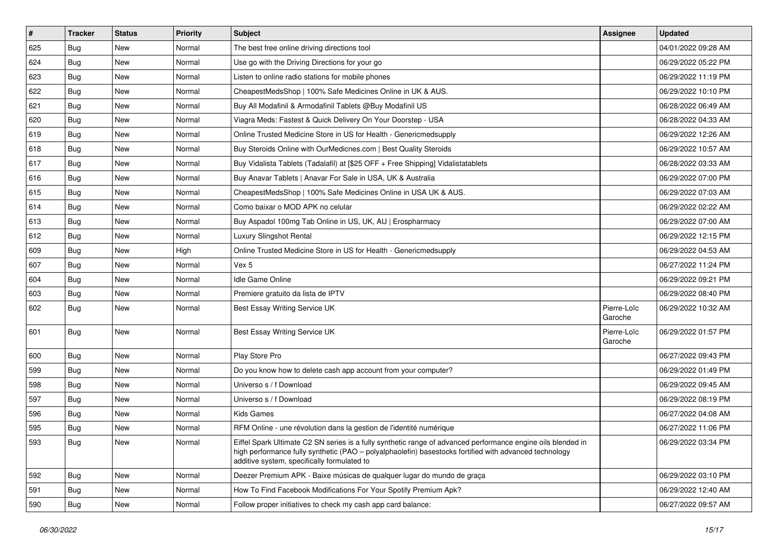| $\vert$ # | <b>Tracker</b> | <b>Status</b> | <b>Priority</b> | <b>Subject</b>                                                                                                                                                                                                                                                        | Assignee               | <b>Updated</b>      |
|-----------|----------------|---------------|-----------------|-----------------------------------------------------------------------------------------------------------------------------------------------------------------------------------------------------------------------------------------------------------------------|------------------------|---------------------|
| 625       | Bug            | New           | Normal          | The best free online driving directions tool                                                                                                                                                                                                                          |                        | 04/01/2022 09:28 AM |
| 624       | Bug            | New           | Normal          | Use go with the Driving Directions for your go                                                                                                                                                                                                                        |                        | 06/29/2022 05:22 PM |
| 623       | Bug            | New           | Normal          | Listen to online radio stations for mobile phones                                                                                                                                                                                                                     |                        | 06/29/2022 11:19 PM |
| 622       | <b>Bug</b>     | New           | Normal          | CheapestMedsShop   100% Safe Medicines Online in UK & AUS.                                                                                                                                                                                                            |                        | 06/29/2022 10:10 PM |
| 621       | Bug            | <b>New</b>    | Normal          | Buy All Modafinil & Armodafinil Tablets @Buy Modafinil US                                                                                                                                                                                                             |                        | 06/28/2022 06:49 AM |
| 620       | Bug            | New           | Normal          | Viagra Meds: Fastest & Quick Delivery On Your Doorstep - USA                                                                                                                                                                                                          |                        | 06/28/2022 04:33 AM |
| 619       | Bug            | <b>New</b>    | Normal          | Online Trusted Medicine Store in US for Health - Genericmedsupply                                                                                                                                                                                                     |                        | 06/29/2022 12:26 AM |
| 618       | Bug            | New           | Normal          | Buy Steroids Online with OurMedicnes.com   Best Quality Steroids                                                                                                                                                                                                      |                        | 06/29/2022 10:57 AM |
| 617       | Bug            | New           | Normal          | Buy Vidalista Tablets (Tadalafil) at [\$25 OFF + Free Shipping] Vidalistatablets                                                                                                                                                                                      |                        | 06/28/2022 03:33 AM |
| 616       | Bug            | <b>New</b>    | Normal          | Buy Anavar Tablets   Anavar For Sale in USA, UK & Australia                                                                                                                                                                                                           |                        | 06/29/2022 07:00 PM |
| 615       | Bug            | New           | Normal          | CheapestMedsShop   100% Safe Medicines Online in USA UK & AUS.                                                                                                                                                                                                        |                        | 06/29/2022 07:03 AM |
| 614       | Bug            | New           | Normal          | Como baixar o MOD APK no celular                                                                                                                                                                                                                                      |                        | 06/29/2022 02:22 AM |
| 613       | Bug            | New           | Normal          | Buy Aspadol 100mg Tab Online in US, UK, AU   Erospharmacy                                                                                                                                                                                                             |                        | 06/29/2022 07:00 AM |
| 612       | <b>Bug</b>     | New           | Normal          | Luxury Slingshot Rental                                                                                                                                                                                                                                               |                        | 06/29/2022 12:15 PM |
| 609       | Bug            | New           | High            | Online Trusted Medicine Store in US for Health - Genericmedsupply                                                                                                                                                                                                     |                        | 06/29/2022 04:53 AM |
| 607       | Bug            | <b>New</b>    | Normal          | Vex 5                                                                                                                                                                                                                                                                 |                        | 06/27/2022 11:24 PM |
| 604       | Bug            | New           | Normal          | Idle Game Online                                                                                                                                                                                                                                                      |                        | 06/29/2022 09:21 PM |
| 603       | Bug            | New           | Normal          | Premiere gratuito da lista de IPTV                                                                                                                                                                                                                                    |                        | 06/29/2022 08:40 PM |
| 602       | Bug            | New           | Normal          | Best Essay Writing Service UK                                                                                                                                                                                                                                         | Pierre-Loïc<br>Garoche | 06/29/2022 10:32 AM |
| 601       | Bug            | New           | Normal          | Best Essay Writing Service UK                                                                                                                                                                                                                                         | Pierre-Loïc<br>Garoche | 06/29/2022 01:57 PM |
| 600       | Bug            | New           | Normal          | Play Store Pro                                                                                                                                                                                                                                                        |                        | 06/27/2022 09:43 PM |
| 599       | Bug            | New           | Normal          | Do you know how to delete cash app account from your computer?                                                                                                                                                                                                        |                        | 06/29/2022 01:49 PM |
| 598       | Bug            | New           | Normal          | Universo s / f Download                                                                                                                                                                                                                                               |                        | 06/29/2022 09:45 AM |
| 597       | Bug            | New           | Normal          | Universo s / f Download                                                                                                                                                                                                                                               |                        | 06/29/2022 08:19 PM |
| 596       | Bug            | New           | Normal          | Kids Games                                                                                                                                                                                                                                                            |                        | 06/27/2022 04:08 AM |
| 595       | Bug            | New           | Normal          | RFM Online - une révolution dans la gestion de l'identité numérique                                                                                                                                                                                                   |                        | 06/27/2022 11:06 PM |
| 593       | Bug            | New           | Normal          | Eiffel Spark Ultimate C2 SN series is a fully synthetic range of advanced performance engine oils blended in<br>high performance fully synthetic (PAO - polyalphaolefin) basestocks fortified with advanced technology<br>additive system, specifically formulated to |                        | 06/29/2022 03:34 PM |
| 592       | <b>Bug</b>     | New           | Normal          | Deezer Premium APK - Baixe músicas de qualquer lugar do mundo de graça                                                                                                                                                                                                |                        | 06/29/2022 03:10 PM |
| 591       | <b>Bug</b>     | New           | Normal          | How To Find Facebook Modifications For Your Spotify Premium Apk?                                                                                                                                                                                                      |                        | 06/29/2022 12:40 AM |
| 590       | Bug            | New           | Normal          | Follow proper initiatives to check my cash app card balance:                                                                                                                                                                                                          |                        | 06/27/2022 09:57 AM |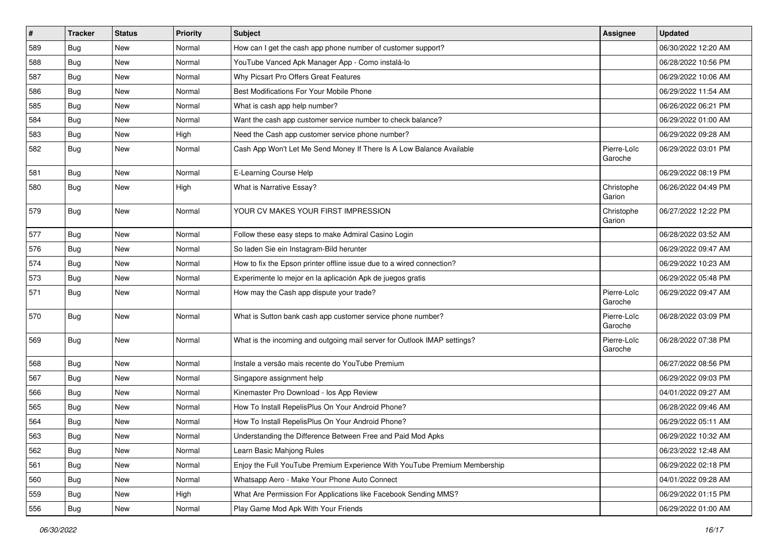| #   | <b>Tracker</b> | <b>Status</b> | <b>Priority</b> | <b>Subject</b>                                                            | <b>Assignee</b>        | <b>Updated</b>      |
|-----|----------------|---------------|-----------------|---------------------------------------------------------------------------|------------------------|---------------------|
| 589 | Bug            | New           | Normal          | How can I get the cash app phone number of customer support?              |                        | 06/30/2022 12:20 AM |
| 588 | Bug            | New           | Normal          | YouTube Vanced Apk Manager App - Como instalá-lo                          |                        | 06/28/2022 10:56 PM |
| 587 | Bug            | New           | Normal          | Why Picsart Pro Offers Great Features                                     |                        | 06/29/2022 10:06 AM |
| 586 | <b>Bug</b>     | New           | Normal          | Best Modifications For Your Mobile Phone                                  |                        | 06/29/2022 11:54 AM |
| 585 | Bug            | <b>New</b>    | Normal          | What is cash app help number?                                             |                        | 06/26/2022 06:21 PM |
| 584 | Bug            | New           | Normal          | Want the cash app customer service number to check balance?               |                        | 06/29/2022 01:00 AM |
| 583 | Bug            | <b>New</b>    | High            | Need the Cash app customer service phone number?                          |                        | 06/29/2022 09:28 AM |
| 582 | <b>Bug</b>     | New           | Normal          | Cash App Won't Let Me Send Money If There Is A Low Balance Available      | Pierre-Loïc<br>Garoche | 06/29/2022 03:01 PM |
| 581 | Bug            | New           | Normal          | E-Learning Course Help                                                    |                        | 06/29/2022 08:19 PM |
| 580 | <b>Bug</b>     | New           | High            | What is Narrative Essay?                                                  | Christophe<br>Garion   | 06/26/2022 04:49 PM |
| 579 | <b>Bug</b>     | <b>New</b>    | Normal          | YOUR CV MAKES YOUR FIRST IMPRESSION                                       | Christophe<br>Garion   | 06/27/2022 12:22 PM |
| 577 | Bug            | New           | Normal          | Follow these easy steps to make Admiral Casino Login                      |                        | 06/28/2022 03:52 AM |
| 576 | Bug            | New           | Normal          | So laden Sie ein Instagram-Bild herunter                                  |                        | 06/29/2022 09:47 AM |
| 574 | <b>Bug</b>     | New           | Normal          | How to fix the Epson printer offline issue due to a wired connection?     |                        | 06/29/2022 10:23 AM |
| 573 | Bug            | New           | Normal          | Experimente lo mejor en la aplicación Apk de juegos gratis                |                        | 06/29/2022 05:48 PM |
| 571 | <b>Bug</b>     | New           | Normal          | How may the Cash app dispute your trade?                                  | Pierre-Loïc<br>Garoche | 06/29/2022 09:47 AM |
| 570 | <b>Bug</b>     | <b>New</b>    | Normal          | What is Sutton bank cash app customer service phone number?               | Pierre-Loïc<br>Garoche | 06/28/2022 03:09 PM |
| 569 | <b>Bug</b>     | New           | Normal          | What is the incoming and outgoing mail server for Outlook IMAP settings?  | Pierre-Loïc<br>Garoche | 06/28/2022 07:38 PM |
| 568 | Bug            | New           | Normal          | Instale a versão mais recente do YouTube Premium                          |                        | 06/27/2022 08:56 PM |
| 567 | Bug            | New           | Normal          | Singapore assignment help                                                 |                        | 06/29/2022 09:03 PM |
| 566 | Bug            | New           | Normal          | Kinemaster Pro Download - los App Review                                  |                        | 04/01/2022 09:27 AM |
| 565 | <b>Bug</b>     | New           | Normal          | How To Install RepelisPlus On Your Android Phone?                         |                        | 06/28/2022 09:46 AM |
| 564 | Bug            | New           | Normal          | How To Install RepelisPlus On Your Android Phone?                         |                        | 06/29/2022 05:11 AM |
| 563 | Bug            | New           | Normal          | Understanding the Difference Between Free and Paid Mod Apks               |                        | 06/29/2022 10:32 AM |
| 562 | Bug            | New           | Normal          | Learn Basic Mahjong Rules                                                 |                        | 06/23/2022 12:48 AM |
| 561 | <b>Bug</b>     | New           | Normal          | Enjoy the Full YouTube Premium Experience With YouTube Premium Membership |                        | 06/29/2022 02:18 PM |
| 560 | <b>Bug</b>     | New           | Normal          | Whatsapp Aero - Make Your Phone Auto Connect                              |                        | 04/01/2022 09:28 AM |
| 559 | Bug            | New           | High            | What Are Permission For Applications like Facebook Sending MMS?           |                        | 06/29/2022 01:15 PM |
| 556 | Bug            | New           | Normal          | Play Game Mod Apk With Your Friends                                       |                        | 06/29/2022 01:00 AM |